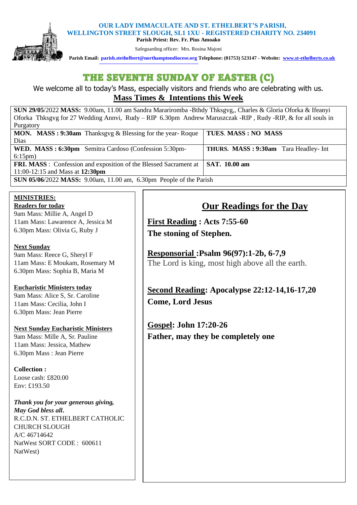## **OUR LADY IMMACULATE AND ST. ETHELBERT'S PARISH,**



 **WELLINGTON STREET SLOUGH, SL1 1XU - REGISTERED CHARITY NO. 234091 Parish Priest: Rev. Fr. Pius Amoako** 

Safeguarding officer: Mrs. Rosina Majoni

 **Parish Email: [parish.stethelbert@northamptondiocese.org](mailto:parish.stethelbert@northamptondiocese.org) Telephone: (01753) 523147 - Website: [www.st-ethelberts.co.uk](about:blank)**

# THE SEVENTH SUNDAY OF EASTER (C)

We welcome all to today's Mass, especially visitors and friends who are celebrating with us. **Mass Times & Intentions this Week** 

**SUN 29/05**/2022 **MASS:** 9.00am, 11.00 am Sandra Marariromba -Bthdy Thksgvg,, Charles & Gloria Oforka & Ifeanyi Oforka Thksgvg for 27 Wedding Annvi, Rudy – RIP 6.30pm Andrew Maruszczak -RIP , Rudy -RIP, & for all souls in Purgatory **MON. MASS : 9:30am** Thanksgvg & Blessing for the year- Roque Dias **TUES**. **MASS : NO MASS WED. MASS : 6:30pm** Semitra Cardoso (Confession 5:30pm-6:15pm) **THURS. MASS : 9:30am** Tara Headley- Int **FRI. MASS** : Confession and exposition of the Blessed Sacrament at 11:00-12:15 and Mass at **12:30pm SAT. 10.00 am SUN 05/06**/2022 **MASS:** 9.00am, 11.00 am, 6.30pm People of the Parish

#### **MINISTRIES: Readers for today**

9am Mass: Millie A, Angel D 11am Mass: Lawarence A, Jessica M 6.30pm Mass: Olivia G, Ruby J

## **Next Sunday**

9am Mass: Reece G, Sheryl F 11am Mass: E Moukam, Rosemary M 6.30pm Mass: Sophia B, Maria M

## **Eucharistic Ministers today**

9am Mass: Alice S, Sr. Caroline 11am Mass: Cecilia, John I 6.30pm Mass: Jean Pierre

### **Next Sunday Eucharistic Ministers**

9am Mass: Mille A, Sr. Pauline 11am Mass: Jessica, Mathew 6.30pm Mass : Jean Pierre

### **Collection :**

Loose cash: £820.00 Env: £193.50

*Thank you for your generous giving, May God bless all***.**  R.C.D.N. ST. ETHELBERT CATHOLIC CHURCH SLOUGH A/C 46714642 NatWest SORT CODE : 600611 NatWest)

## **Our Readings for the Day**

**First Reading : Acts 7:55-60 The stoning of Stephen.**

**Responsorial :Psalm 96(97):1-2b, 6-7,9** The Lord is king, most high above all the earth.

**Second Reading: Apocalypse 22:12-14,16-17,20 Come, Lord Jesus**

**Gospel: John 17:20-26 Father, may they be completely one**